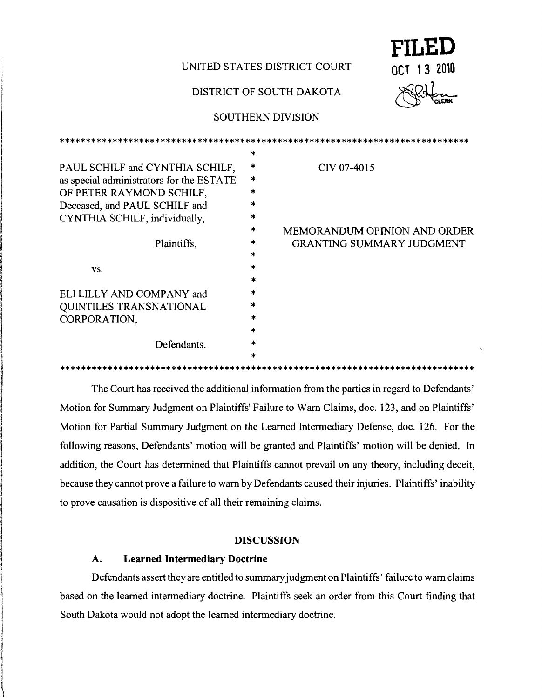# UNITED STATES DISTRICT COURT **OCT 13 2010**

### DISTRICT OF SOUTH DAKOTA



## SOUTHERN DIVISION

\*\*\*\*\*\*\*\*\*\*\*\*\*\*\*\*\*\*\*\*\*\*\*\*\*\*\*\*\*\*\*\*\*\*\*\*\*\*\*\*\*\*\*\*\*\*\*\*\*\*\*\*\*\*\*\*\*\*\*\*\*\*\*\*\*\*\*\*\*\*\*\*\*\*\*\*\*

|                                          | *      |                                     |
|------------------------------------------|--------|-------------------------------------|
| PAUL SCHILF and CYNTHIA SCHILF,          | *      | CIV 07-4015                         |
| as special administrators for the ESTATE | $\ast$ |                                     |
| OF PETER RAYMOND SCHILF,                 |        |                                     |
| Deceased, and PAUL SCHILF and            |        |                                     |
| CYNTHIA SCHILF, individually,            |        |                                     |
|                                          |        | <b>MEMORANDUM OPINION AND ORDER</b> |
| Plaintiffs,                              |        | <b>GRANTING SUMMARY JUDGMENT</b>    |
|                                          |        |                                     |
| VS.                                      |        |                                     |
|                                          |        |                                     |
| ELI LILLY AND COMPANY and                |        |                                     |
| QUINTILES TRANSNATIONAL                  |        |                                     |
| CORPORATION.                             |        |                                     |
|                                          |        |                                     |
| Defendants.                              |        |                                     |
|                                          |        |                                     |
|                                          |        |                                     |

The Court has received the additional information from the parties in regard to Defendants' Motion for Summary Judgment on Plaintiffs' Failure to Warn Claims, doc. 123, and on Plaintiffs' Motion for Partial Summary Judgment on the Learned Intermediary Defense, doc. 126. For the following reasons, Defendants' motion will be granted and Plaintiffs' motion will be denied. In addition, the Court has determined that Plaintiffs cannot prevail on any theory, including deceit, because they cannot prove a failure to warn by Defendants caused their injuries. Plaintiffs'inability to prove causation is dispositive of all their remaining claims.

## DISCUSSION

## A. **Learned Intermediary Doctrine**

ing the state of the state of the state of the state of the state of the state of the state of the state of the

ist ook in die stel was die stel besteen die Kaap die Kaap die Kaap die Kaap die Kaap die Kaap die Kaap die Ka<br>In 1970 was die kaap die kaap die kaap die kaap die kaap die kaap die kaap die kaap die kaap die kaap die kaap

**I**<br>Internet J ignorable community na kalaankaana , **International** كافلىسى<br>1 **I** 

j<br>J igit understading:<br>.

 $\frac{1}{2}$ 

in teaching the dist l I !

> Aministration<br>International i<br>Indonesia<br>I

 $\vert$ 

|<br>|<br>| **Inchinese** 

Defendants assert they are entitled to summary judgment on Plaintiffs' failure to warn claims based on the learned intermediary doctrine. Plaintiffs seek an order from this Court finding that South Dakota would not adopt the learned intennediary doctrine.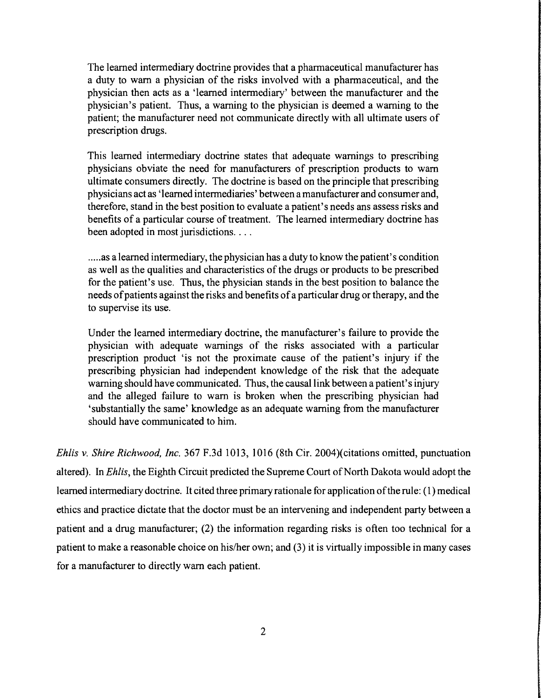The learned intermediary doctrine provides that a pharmaceutical manufacturer has a duty to warn a physician of the risks involved with a pharmaceutical, and the physician then acts as a 'learned intennediary' between the manufacturer and the physician's patient. Thus, a warning to the physician is deemed a warning to the patient; the manufacturer need not communicate directly with all ultimate users of prescription drugs.

This learned intennediary doctrine states that adequate warnings to prescribing physicians obviate the need for manufacturers of prescription products to warn ultimate consumers directly. The doctrine is based on the principle that prescribing physicians act as 'learned intennediaries' between a manufacturer and consumer and, therefore, stand in the best position to evaluate a patient's needs ans assess risks and benefits of a particular course of treatment. The learned intennediary doctrine has been adopted in most jurisdictions....

.....as a learned intermediary, the physician has a duty to know the patient's condition as well as the qualities and characteristics of the drugs or products to be prescribed for the patient's use. Thus, the physician stands in the best position to balance the needs of patients against the risks and benefits of a particular drug or therapy, and the to supervise its use.

Under the learned intennediary doctrine, the manufacturer's failure to provide the physician with adequate warnings of the risks associated with a particular prescription product 'is not the proximate cause of the patient's injury if the prescribing physician had independent knowledge of the risk that the adequate warning should have communicated. Thus, the causal link between a patient's injury and the alleged failure to warn is broken when the prescribing physician had 'substantially the same' knowledge as an adequate warning from the manufacturer should have communicated to him.

*Eh/is* v. *Shire Richwood, Inc.* 367 F.3d 1013, 1016 (8th Cir. 2004)(citations omitted, punctuation altered). In *Ehlis*, the Eighth Circuit predicted the Supreme Court of North Dakota would adopt the learned intermediary doctrine. It cited three primary rationale for application of the rule: (1) medical ethics and practice dictate that the doctor must be an intervening and independent party between a patient and a drug manufacturer; (2) the information regarding risks is often too technical for a patient to make a reasonable choice on his/her own; and (3) it is virtually impossible in many cases for a manufacturer to directly warn each patient.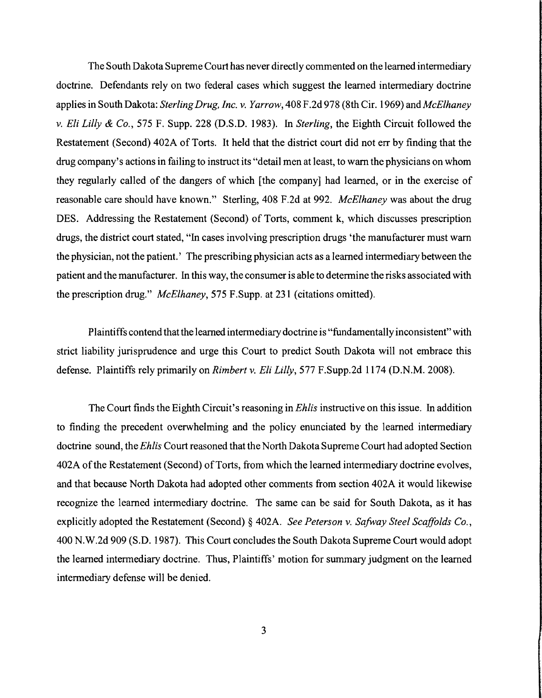The South Dakota Supreme Court has never directly commented on the learned intermediary doctrine. Defendants rely on two federal cases which suggest the learned intermediary doctrine applies in South Dakota: *SterlingDrug, Inc.* v. *Yarrow,* 408 F.2d 978 (8th Cir. 1969) and *McElhaney*  v. *Eli Lilly* & *Co.,* 575 F. Supp. 228 (D.S.D. 1983). In *Sterling,* the Eighth Circuit followed the Restatement (Second) 402A of Torts. It held that the district court did not err by finding that the drug company's actions in failing to instruct its "detail men at least, to warn the physicians on whom they regularly called of the dangers of which [the company] had learned, or in the exercise of reasonable care should have known." Sterling, 408 F.2d at 992. *McElhaney* was about the drug DES. Addressing the Restatement (Second) of Torts, comment k, which discusses prescription drugs, the district court stated, "In cases involving prescription drugs 'the manufacturer must warn the physician, not the patient.' The prescribing physician acts as a learned intermediary between the patient and the manufacturer. In this way, the consumer is able to determine the risks associated with the prescription drug." *McElhaney,* 575 F.Supp. at 231 (citations omitted).

Plaintiffs contend that the learned intermediary doctrine is "fundamentallyinconsistent" with strict liability jurisprudence and urge this Court to predict South Dakota will not embrace this defense. Plaintiffs rely primarily on *Rimbert* v. *Eli Lilly,* 577 F.Supp.2d 1174 (D.N.M. 2008).

The Court finds the Eighth Circuit's reasoning in *Ehlis* instructive on this issue. In addition to finding the precedent overwhelming and the policy enunciated by the learned intermediary doctrine sound, the *Ehlis* Court reasoned that the North Dakota Supreme Court had adopted Section 402A ofthe Restatement (Second) ofTorts, from which the learned intermediary doctrine evolves, and that because North Dakota had adopted other comments from section 402A it would likewise recognize the learned intermediary doctrine. The same can be said for South Dakota, as it has explicitly adopted the Restatement (Second) § 402A. *See Peterson* v. *Safway Steel Scaffolds Co.,*  400 N.W.2d 909 (S.D. 1987). This Court concludes the South Dakota Supreme Court would adopt the learned intermediary doctrine. Thus, Plaintiffs' motion for summary judgment on the learned intermediary defense will be denied.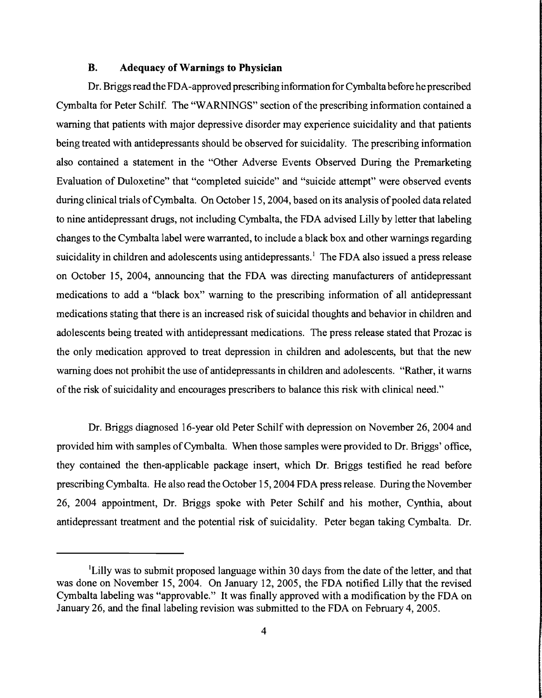#### **B. Adequacy of Warnings to Physician**

Dr. Briggs read the FDA-approved prescribing infonnation for Cymbalta before he prescribed Cymbalta for Peter Schilf. The "WARNINGS" section of the prescribing infonnation contained a warning that patients with major depressive disorder may experience suicidality and that patients being treated with antidepressants should be observed for suicidality. The prescribing information also contained a statement in the "Other Adverse Events Observed During the Premarketing Evaluation of Duloxetine" that "completed suicide" and "suicide attempt" were observed events during clinical trials of Cymbalta. On October 15, 2004, based on its analysis of pooled data related to nine antidepressant drugs, not including Cymbalta, the FDA advised Lilly by letter that labeling changes to the Cymbalta label were warranted, to include a black box and other warnings regarding suicidality in children and adolescents using antidepressants.<sup>1</sup> The FDA also issued a press release on October 15, 2004, announcing that the FDA was directing manufacturers of antidepressant medications to add a "black box" warning to the prescribing information of all antidepressant medications stating that there is an increased risk of suicidal thoughts and behavior in children and adolescents being treated with antidepressant medications. The press release stated that Prozac is the only medication approved to treat depression in children and adolescents, but that the new warning does not prohibit the use of antidepressants in children and adolescents. "Rather, it warns of the risk of suicidality and encourages prescribers to balance this risk with clinical need."

Dr. Briggs diagnosed 16-year old Peter Schilf with depression on November 26, 2004 and provided him with samples of Cymbalta. When those samples were provided to Dr. Briggs' office, they contained the then-applicable package insert, which Dr. Briggs testified he read before prescribing Cymbalta. He also read the October 15,2004 FDA press release. During the November 26, 2004 appointment, Dr. Briggs spoke with Peter Schilf and his mother, Cynthia, about antidepressant treatment and the potential risk of suicidality. Peter began taking Cymbalta. Dr.

<sup>&</sup>lt;sup>1</sup>Lilly was to submit proposed language within 30 days from the date of the letter, and that was done on November 15,2004. On January 12,2005, the FDA notified Lilly that the revised Cymbalta labeling was "approvable." It was finally approved with a modification by the FDA on January 26, and the final labeling revision was submitted to the FDA on February 4,2005.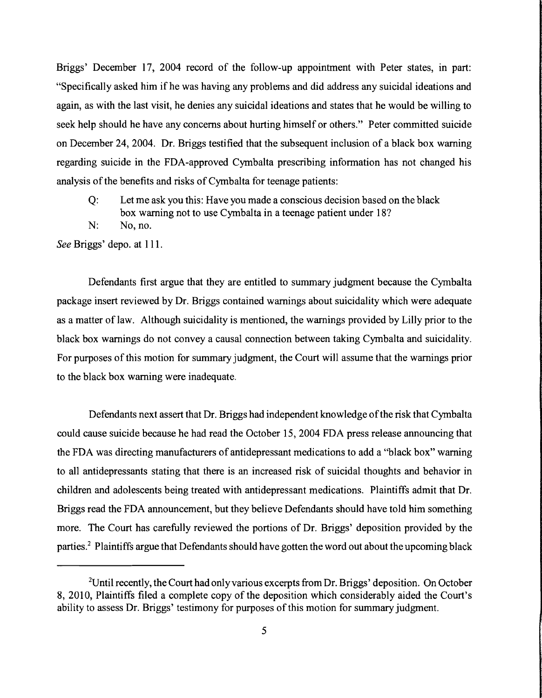Briggs' December 17, 2004 record of the follow-up appointment with Peter states, in part: "Specifically asked him ifhe was having any problems and did address any suicidal ideations and again, as with the last visit, he denies any suicidal ideations and states that he would be willing to seek help should he have any concerns about hurting himself or others." Peter committed suicide on December 24, 2004. Dr. Briggs testified that the subsequent inclusion of a black box warning regarding suicide in the FDA-approved Cymbalta prescribing information has not changed his analysis of the benefits and risks of Cymbalta for teenage patients:

- Q: Let me ask you this: Have you made a conscious decision based on the black box warning not to use Cymbalta in a teenage patient under 18?
- N: No, no.

*See* Briggs' depo. at 111.

Defendants first argue that they are entitled to summary judgment because the Cymbalta package insert reviewed by Dr. Briggs contained warnings about suicidality which were adequate as a matter of law. Although suicidality is mentioned, the warnings provided by Lilly prior to the black box warnings do not convey a causal connection between taking Cymbalta and suicidality. For purposes of this motion for summary judgment, the Court will assume that the warnings prior to the black box warning were inadequate.

Defendants next assert that Dr. Briggs had independent knowledge ofthe risk that Cymbalta could cause suicide because he had read the October 15, 2004 FDA press release announcing that the FDA was directing manufacturers of antidepressant medications to add a "black box" warning to all antidepressants stating that there is an increased risk of suicidal thoughts and behavior in children and adolescents being treated with antidepressant medications. Plaintiffs admit that Dr. Briggs read the FDA announcement, but they believe Defendants should have told him something more. The Court has carefully reviewed the portions of Dr. Briggs' deposition provided by the parties.<sup>2</sup> Plaintiffs argue that Defendants should have gotten the word out about the upcoming black

<sup>&</sup>lt;sup>2</sup>Until recently, the Court had only various excerpts from Dr. Briggs' deposition. On October 8, 2010, Plaintiffs filed a complete copy of the deposition which considerably aided the Court's ability to assess Dr. Briggs' testimony for purposes of this motion for summary judgment.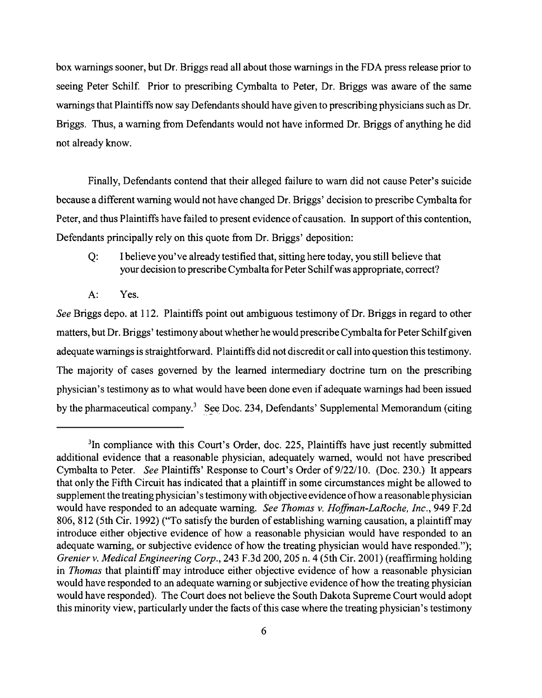box warnings sooner, but Dr. Briggs read all about those warnings in the FDA press release prior to seeing Peter Schilf. Prior to prescribing Cymbalta to Peter, Dr. Briggs was aware of the same warnings that Plaintiffs now say Defendants should have given to prescribing physicians such as Dr. Briggs. Thus, a warning from Defendants would not have informed Dr. Briggs of anything he did not already know.

Finally, Defendants contend that their alleged failure to warn did not cause Peter's suicide because a different warning would not have changed Dr. Briggs' decision to prescribe Cymbalta for Peter, and thus Plaintiffs have failed to present evidence of causation. In support of this contention, Defendants principally rely on this quote from Dr. Briggs' deposition:

- Q: I believe you've already testified that, sitting here today, you still believe that your decision to prescribe Cymbalta for Peter Schilfwas appropriate, correct?
- A: Yes.

*See* Briggs depo. at 112. Plaintiffs point out ambiguous testimony of Dr. Briggs in regard to other matters, but Dr. Briggs' testimony about whether he would prescribeCymbalta for Peter Schilfgiven adequate warnings is straightforward. Plaintiffs did not discredit or call into question this testimony. The majority of cases governed by the learned intermediary doctrine tum on the prescribing physician's testimony as to what would have been done even if adequate warnings had been issued by the pharmaceutical company.<sup>3</sup> See Doc. 234, Defendants' Supplemental Memorandum (citing

<sup>&</sup>lt;sup>3</sup>In compliance with this Court's Order, doc. 225, Plaintiffs have just recently submitted additional evidence that a reasonable physician, adequately warned, would not have prescribed Cymbalta to Peter. *See* Plaintiffs' Response to Court's Order of 9/22/10. (Doc. 230.) It appears that only the Fifth Circuit has indicated that a plaintiff in some circumstances might be allowed to supplement the treating physician's testimony with objective evidence ofhow a reasonable physician would have responded to an adequate warning. *See Thomas v. Hoffman-LaRoche, Inc.,* 949 F.2d 806, 812 (5th Cir. 1992) ("To satisfy the burden of establishing warning causation, a plaintiffmay introduce either objective evidence of how a reasonable physician would have responded to an adequate warning, or subjective evidence of how the treating physician would have responded."); *Grenier v. Medical Engineering Corp.,* 243 F.3d 200, 205 n. 4 (5th Cir. 2001) (reaffirming holding in *Thomas* that plaintiff may introduce either objective evidence of how a reasonable physician would have responded to an adequate warning or subjective evidence of how the treating physician would have responded). The Court does not believe the South Dakota Supreme Court would adopt this minority view, particularly under the facts of this case where the treating physician's testimony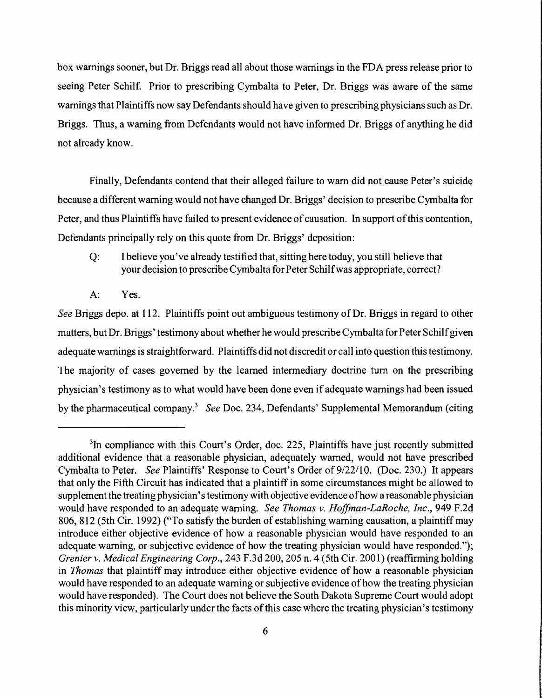box warnings sooner, but Dr. Briggs read all about those warnings in the FDA press release prior to seeing Peter Schilf. Prior to prescribing Cymbalta to Peter, Dr. Briggs was aware of the same warnings that Plaintiffs now say Defendants should have given to prescribing physicians such as Dr. Briggs. Thus, a warning from Defendants would not have informed Dr. Briggs of anything he did not already know.

Finally, Defendants contend that their alleged failure to warn did not cause Peter's suicide because a different warning would not have changed Dr. Briggs' decision to prescribe Cymbalta for Peter, and thus Plaintiffs have failed to present evidence of causation. In support of this contention, Defendants principally rely on this quote from Dr. Briggs' deposition:

- Q: I believe you've already testified that, sitting here today, you still believe that your decision to prescribe Cymbalta for Peter Schilfwas appropriate, correct?
- A: Yes.

*See* Briggs depo. at 112. Plaintiffs point out ambiguous testimony of Dr. Briggs in regard to other matters, but Dr. Briggs' testimony about whether he would prescribe Cymbalta for Peter Schilfgiven adequate warnings is straightforward. Plaintiffs did not discredit or call into question this testimony. The majority of cases governed by the learned intermediary doctrine tum on the prescribing physician's testimony as to what would have been done even if adequate warnings had been issued by the pharmaceutical company? *See* Doc. 234, Defendants' Supplemental Memorandum (citing

<sup>&</sup>lt;sup>3</sup>In compliance with this Court's Order, doc. 225, Plaintiffs have just recently submitted additional evidence that a reasonable physician, adequately warned, would not have prescribed Cymbalta to Peter. *See* Plaintiffs' Response to Court's Order of *9/22110.* (Doc. 230.) It appears that only the Fifth Circuit has indicated that a plaintiff in some circumstances might be allowed to supplement the treating physician's testimony with objective evidence ofhow a reasonable physician would have responded to an adequate warning. *See Thomas* v. *Hoffman-LaRoche, Inc.,* 949 F.2d 806, 812 (5th Cir. 1992) ("To satisfy the burden of establishing warning causation, a plaintiff may introduce either objective evidence of how a reasonable physician would have responded to an adequate warning, or subjective evidence of how the treating physician would have responded."); *Grenier* v. *Medical Engineering Corp.,* 243 F.3d 200, 205 n. 4 (5th Cir. 2001) (reaffirming holding in *Thomas* that plaintiff may introduce either objective evidence of how a reasonable physician would have responded to an adequate warning or subjective evidence of how the treating physician would have responded). The Court does not believe the South Dakota Supreme Court would adopt this minority view, particularly under the facts of this case where the treating physician's testimony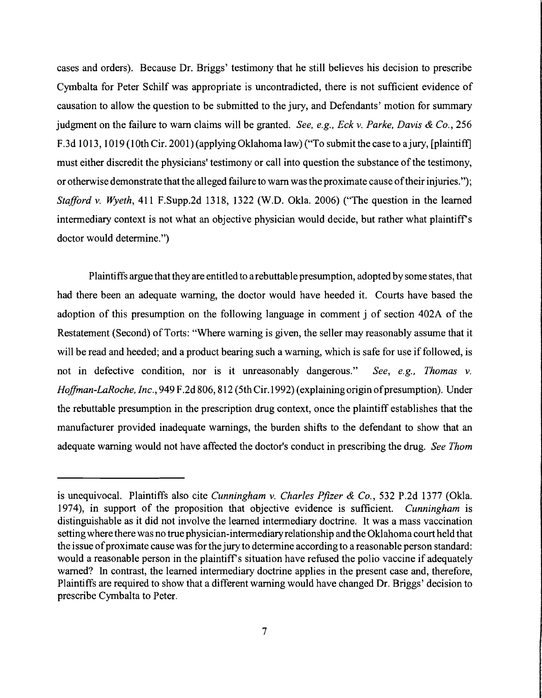cases and orders). Because Dr. Briggs' testimony that he still believes his decision to prescribe Cymbalta for Peter Schilf was appropriate is uncontradicted, there is not sufficient evidence of causation to allow the question to be submitted to the jury, and Defendants' motion for summary judgment on the failure to warn claims will be granted. *See, e.g., Eck* v. *Parke. Davis* & *Co., 256*  F.3d 1013, 1019 (10th Cir. 2001) (applying Oklahoma law) ("To submit the case to a jury, [plaintiff] must either discredit the physicians' testimony or call into question the substance of the testimony, or otherwise demonstrate that the alleged failure to warn was the proximate cause oftheir injuries."); *Stafford* v. *Wyeth,* 411 F.Supp.2d 1318, 1322 (W.D. Okla. 2006) ("The question in the learned intermediary context is not what an objective physician would decide, but rather what plaintiff's doctor would determine.")

Plaintiffs argue that they are entitled to a rebuttable presumption, adopted by some states, that had there been an adequate warning, the doctor would have heeded it. Courts have based the adoption of this presumption on the following language in comment j of section 402A of the Restatement (Second) of Torts: "Where warning is given, the seller may reasonably assume that it will be read and heeded; and a product bearing such a warning, which is safe for use if followed, is not in defective condition, nor is it unreasonably dangerous." *See, e.g., Thomas* v. *Hoffman-LaRoche, Inc.,* 949 F.2d 806, 812 (5th Cir.1992) (explaining origin ofpresumption). Under the rebuttable presumption in the prescription drug context, once the plaintiff establishes that the manufacturer provided inadequate warnings, the burden shifts to the defendant to show that an adequate warning would not have affected the doctor's conduct in prescribing the drug. *See Thom* 

is unequivocal. Plaintiffs also cite *Cunningham* v. *Charles Pfizer* & *Co.,* 532 P.2d 1377 (Okla. 1974), in support of the proposition that objective evidence is sufficient. *Cunningham* is distinguishable as it did not involve the learned intermediary doctrine. It was a mass vaccination setting where there was no true physician-intermediary relationship and the Oklahoma court held that the issue of proximate cause was for the jury to determine according to a reasonable person standard: would a reasonable person in the plaintiff's situation have refused the polio vaccine if adequately warned? In contrast, the learned intermediary doctrine applies in the present case and, therefore, Plaintiffs are required to show that a different warning would have changed Dr. Briggs' decision to prescribe Cymbalta to Peter.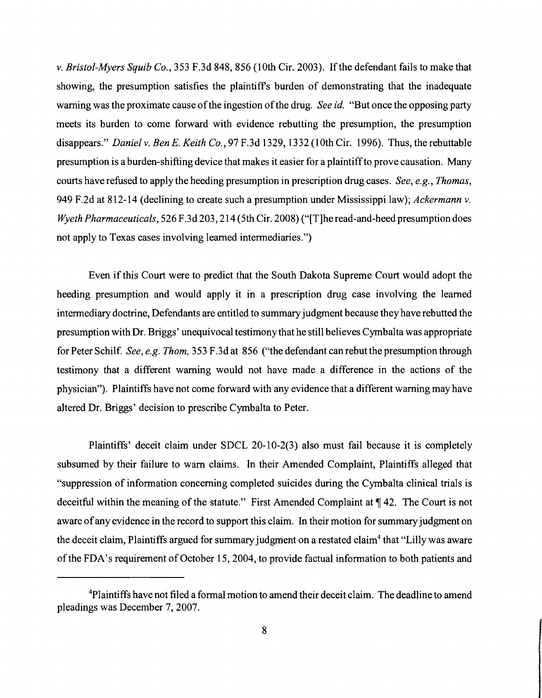v. *Bristol-Myers Squib Co.,* 353 F.3d 848,856 (10th Cir. 2003). Ifthe defendant fails to make that showing, the presumption satisfies the plaintiffs burden of demonstrating that the inadequate warning was the proximate cause ofthe ingestion ofthe drug. *See id.* "But once the opposing party meets its burden to come forward with evidence rebutting the presumption, the presumption disappears." *Daniel* v. *Ben E. Keith Co.,* 97 F.3d 1329, 1332 (10th Cir. 1996). Thus, the rebuttable presumption is a burden-shifting device that makes it easier for a plaintiffto prove causation. Many courts have refused to apply the heeding presumption in prescription drug cases. *See, e.g., Thomas,*  949 F.2d at 812-14 (declining to create such a presumption under Mississippi law); *Ackermann* v. *Wyeth Pharmaceuticals,* 526 F.3d 203, 214 (5th Cir. 2008) ("[T]he read-and-heed presumption does not apply to Texas cases involving learned intermediaries.")

Even if this Court were to predict that the South Dakota Supreme Court would adopt the heeding presumption and would apply it in a prescription drug case involving the learned intermediary doctrine, Defendants are entitled to summaryjudgment because they have rebutted the presumption with Dr. Briggs' unequivocal testimony that he still believes Cymbalta was appropriate for Peter Schilf. *See, e.g. Thom,* 353 F.3d at 856 ("the defendant can rebut the presumption through testimony that a different warning would not have made a difference in the actions of the physician"). Plaintiffs have not come forward with any evidence that a different warning may have altered Dr. Briggs' decision to prescribe Cymbalta to Peter.

Plaintiffs' deceit claim under SDCL 20-10-2(3) also must fail because it is completely subsumed by their failure to warn claims. In their Amended Complaint, Plaintiffs alleged that "suppression of information concerning completed suicides during the Cymbalta clinical trials is deceitful within the meaning of the statute." First Amended Complaint at  $\P$  42. The Court is not aware of any evidence in the record to support this claim. In their motion for summary judgment on the deceit claim, Plaintiffs argued for summary judgment on a restated claim<sup>4</sup> that "Lilly was aware of the FDA's requirement of October 15, 2004, to provide factual information to both patients and

<sup>&</sup>lt;sup>4</sup>Plaintiffs have not filed a formal motion to amend their deceit claim. The deadline to amend pleadings was December 7, 2007.